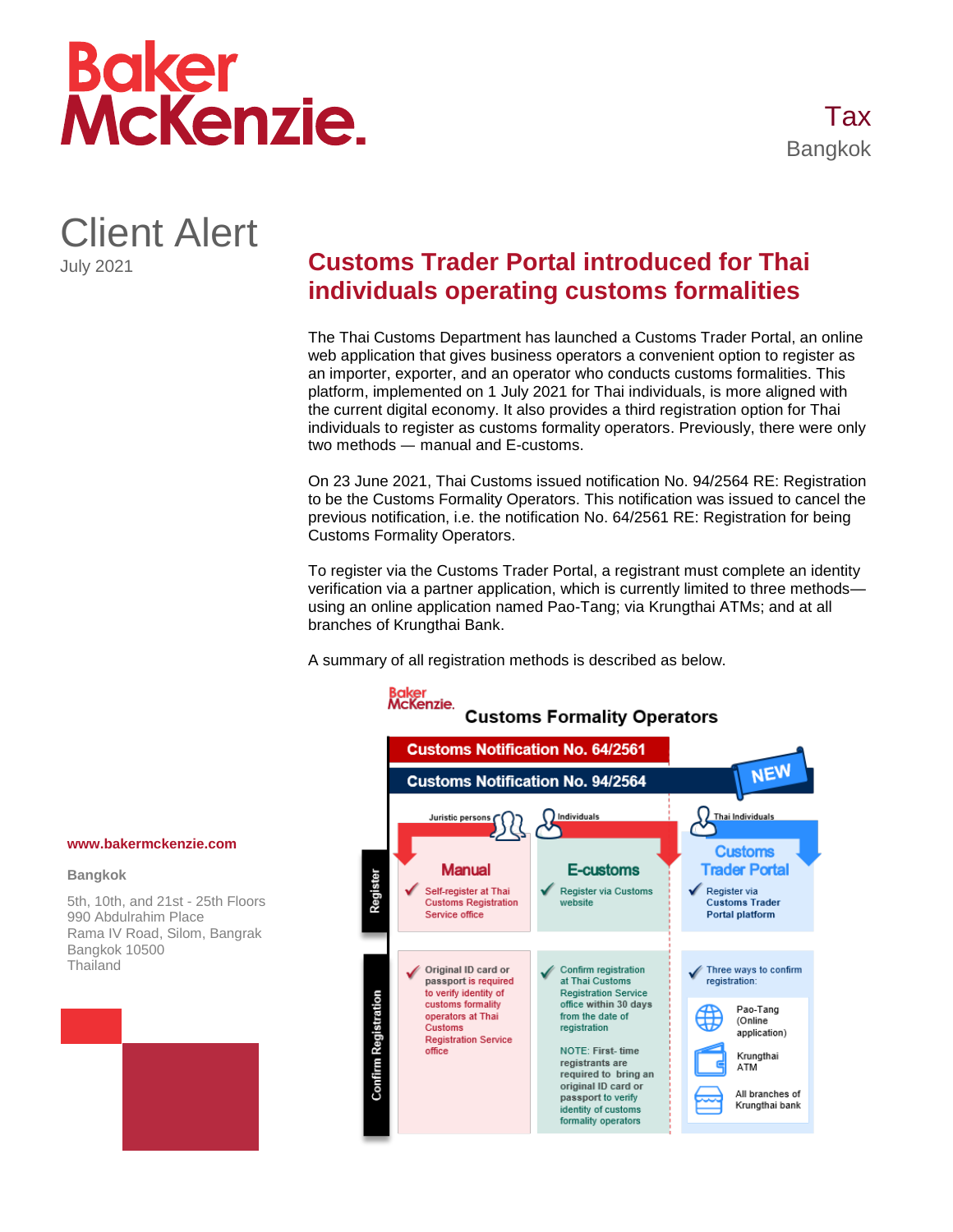

Client Alert July 2021

## **Customs Trader Portal introduced for Thai individuals operating customs formalities**

The Thai Customs Department has launched a Customs Trader Portal, an online web application that gives business operators a convenient option to register as an importer, exporter, and an operator who conducts customs formalities. This platform, implemented on 1 July 2021 for Thai individuals, is more aligned with the current digital economy. It also provides a third registration option for Thai individuals to register as customs formality operators. Previously, there were only two methods — manual and E-customs.

On 23 June 2021, Thai Customs issued notification No. 94/2564 RE: Registration to be the Customs Formality Operators. This notification was issued to cancel the previous notification, i.e. the notification No. 64/2561 RE: Registration for being Customs Formality Operators.

To register via the Customs Trader Portal, a registrant must complete an identity verification via a partner application, which is currently limited to three methods using an online application named Pao-Tang; via Krungthai ATMs; and at all branches of Krungthai Bank.

A summary of all registration methods is described as below.



## **www.bakermckenzie.com**

## **Bangkok**

5th, 10th, and 21st - 25th Floors 990 Abdulrahim Place Rama IV Road, Silom, Bangrak Bangkok 10500 **Thailand**